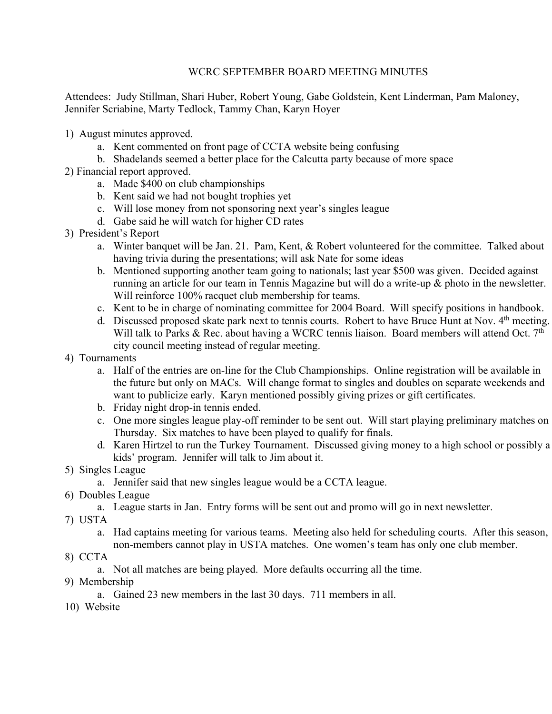## WCRC SEPTEMBER BOARD MEETING MINUTES

Attendees: Judy Stillman, Shari Huber, Robert Young, Gabe Goldstein, Kent Linderman, Pam Maloney, Jennifer Scriabine, Marty Tedlock, Tammy Chan, Karyn Hoyer

- 1) August minutes approved.
	- a. Kent commented on front page of CCTA website being confusing
	- b. Shadelands seemed a better place for the Calcutta party because of more space
- 2) Financial report approved.
	- a. Made \$400 on club championships
	- b. Kent said we had not bought trophies yet
	- c. Will lose money from not sponsoring next year's singles league
	- d. Gabe said he will watch for higher CD rates
- 3) President's Report
	- a. Winter banquet will be Jan. 21. Pam, Kent, & Robert volunteered for the committee. Talked about having trivia during the presentations; will ask Nate for some ideas
	- b. Mentioned supporting another team going to nationals; last year \$500 was given. Decided against running an article for our team in Tennis Magazine but will do a write-up & photo in the newsletter. Will reinforce 100% racquet club membership for teams.
	- c. Kent to be in charge of nominating committee for 2004 Board. Will specify positions in handbook.
	- d. Discussed proposed skate park next to tennis courts. Robert to have Bruce Hunt at Nov. 4<sup>th</sup> meeting. Will talk to Parks & Rec. about having a WCRC tennis liaison. Board members will attend Oct.  $7<sup>th</sup>$ city council meeting instead of regular meeting.
- 4) Tournaments
	- a. Half of the entries are on-line for the Club Championships. Online registration will be available in the future but only on MACs. Will change format to singles and doubles on separate weekends and want to publicize early. Karyn mentioned possibly giving prizes or gift certificates.
	- b. Friday night drop-in tennis ended.
	- c. One more singles league play-off reminder to be sent out. Will start playing preliminary matches on Thursday. Six matches to have been played to qualify for finals.
	- d. Karen Hirtzel to run the Turkey Tournament. Discussed giving money to a high school or possibly a kids' program. Jennifer will talk to Jim about it.
- 5) Singles League
	- a. Jennifer said that new singles league would be a CCTA league.
- 6) Doubles League
	- a. League starts in Jan. Entry forms will be sent out and promo will go in next newsletter.
- 7) USTA
	- a. Had captains meeting for various teams. Meeting also held for scheduling courts. After this season, non-members cannot play in USTA matches. One women's team has only one club member.
- 8) CCTA
	- a. Not all matches are being played. More defaults occurring all the time.
- 9) Membership
	- a. Gained 23 new members in the last 30 days. 711 members in all.
- 10) Website